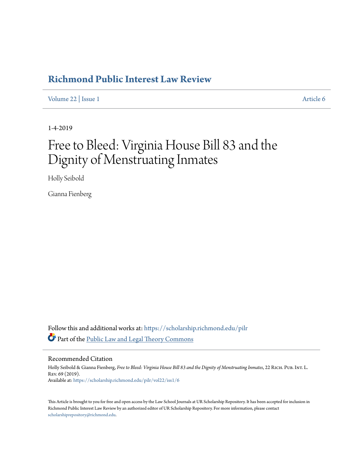## **[Richmond Public Interest Law Review](https://scholarship.richmond.edu/pilr?utm_source=scholarship.richmond.edu%2Fpilr%2Fvol22%2Fiss1%2F6&utm_medium=PDF&utm_campaign=PDFCoverPages)**

[Volume 22](https://scholarship.richmond.edu/pilr/vol22?utm_source=scholarship.richmond.edu%2Fpilr%2Fvol22%2Fiss1%2F6&utm_medium=PDF&utm_campaign=PDFCoverPages) | [Issue 1](https://scholarship.richmond.edu/pilr/vol22/iss1?utm_source=scholarship.richmond.edu%2Fpilr%2Fvol22%2Fiss1%2F6&utm_medium=PDF&utm_campaign=PDFCoverPages) [Article 6](https://scholarship.richmond.edu/pilr/vol22/iss1/6?utm_source=scholarship.richmond.edu%2Fpilr%2Fvol22%2Fiss1%2F6&utm_medium=PDF&utm_campaign=PDFCoverPages)

1-4-2019

# Free to Bleed: Virginia House Bill 83 and the Dignity of Menstruating Inmates

Holly Seibold

Gianna Fienberg

Follow this and additional works at: [https://scholarship.richmond.edu/pilr](https://scholarship.richmond.edu/pilr?utm_source=scholarship.richmond.edu%2Fpilr%2Fvol22%2Fiss1%2F6&utm_medium=PDF&utm_campaign=PDFCoverPages) Part of the [Public Law and Legal Theory Commons](http://network.bepress.com/hgg/discipline/871?utm_source=scholarship.richmond.edu%2Fpilr%2Fvol22%2Fiss1%2F6&utm_medium=PDF&utm_campaign=PDFCoverPages)

Recommended Citation

Holly Seibold & Gianna Fienberg, *Free to Bleed: Virginia House Bill 83 and the Dignity of Menstruating Inmates*, 22 RICH. PUB. INT. L. Rev. 69 (2019). Available at: [https://scholarship.richmond.edu/pilr/vol22/iss1/6](https://scholarship.richmond.edu/pilr/vol22/iss1/6?utm_source=scholarship.richmond.edu%2Fpilr%2Fvol22%2Fiss1%2F6&utm_medium=PDF&utm_campaign=PDFCoverPages)

This Article is brought to you for free and open access by the Law School Journals at UR Scholarship Repository. It has been accepted for inclusion in Richmond Public Interest Law Review by an authorized editor of UR Scholarship Repository. For more information, please contact [scholarshiprepository@richmond.edu.](mailto:scholarshiprepository@richmond.edu)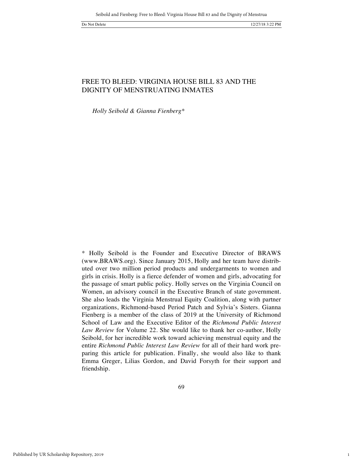1

### FREE TO BLEED: VIRGINIA HOUSE BILL 83 AND THE DIGNITY OF MENSTRUATING INMATES

*Holly Seibold & Gianna Fienberg\**

\* Holly Seibold is the Founder and Executive Director of BRAWS (www.BRAWS.org). Since January 2015, Holly and her team have distributed over two million period products and undergarments to women and girls in crisis. Holly is a fierce defender of women and girls, advocating for the passage of smart public policy. Holly serves on the Virginia Council on Women, an advisory council in the Executive Branch of state government. She also leads the Virginia Menstrual Equity Coalition, along with partner organizations, Richmond-based Period Patch and Sylvia's Sisters. Gianna Fienberg is a member of the class of 2019 at the University of Richmond School of Law and the Executive Editor of the *Richmond Public Interest Law Review* for Volume 22. She would like to thank her co-author, Holly Seibold, for her incredible work toward achieving menstrual equity and the entire *Richmond Public Interest Law Review* for all of their hard work preparing this article for publication. Finally, she would also like to thank Emma Greger, Lilias Gordon, and David Forsyth for their support and friendship.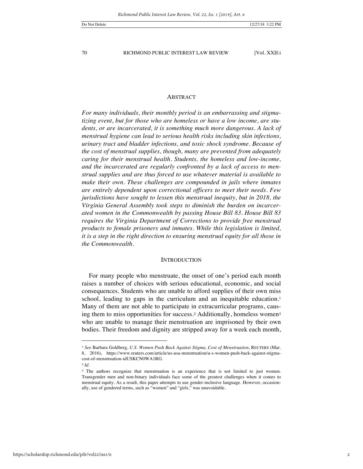#### ABSTRACT

*For many individuals, their monthly period is an embarrassing and stigmatizing event, but for those who are homeless or have a low income, are students, or are incarcerated, it is something much more dangerous. A lack of menstrual hygiene can lead to serious health risks including skin infections, urinary tract and bladder infections, and toxic shock syndrome. Because of the cost of menstrual supplies, though, many are prevented from adequately caring for their menstrual health. Students, the homeless and low-income, and the incarcerated are regularly confronted by a lack of access to menstrual supplies and are thus forced to use whatever material is available to make their own. These challenges are compounded in jails where inmates are entirely dependent upon correctional officers to meet their needs. Few jurisdictions have sought to lessen this menstrual inequity, but in 2018, the Virginia General Assembly took steps to diminish the burden on incarcerated women in the Commonwealth by passing House Bill 83. House Bill 83 requires the Virginia Department of Corrections to provide free menstrual products to female prisoners and inmates. While this legislation is limited, it is a step in the right direction to ensuring menstrual equity for all those in the Commonwealth.* 

#### **INTRODUCTION**

For many people who menstruate, the onset of one's period each month raises a number of choices with serious educational, economic, and social consequences. Students who are unable to afford supplies of their own miss school, leading to gaps in the curriculum and an inequitable education.<sup>1</sup> Many of them are not able to participate in extracurricular programs, causing them to miss opportunities for success.<sup>2</sup> Additionally, homeless women<sup>3</sup> who are unable to manage their menstruation are imprisoned by their own bodies. Their freedom and dignity are stripped away for a week each month,

<sup>1</sup> *See* Barbara Goldberg, *U.S. Women Push Back Against Stigma, Cost of Menstruation*, REUTERS (Mar. 8, 2016), https://www.reuters.com/article/us-usa-menstruation/u-s-women-push-back-against-stigmacost-of-menstruation-idUSKCN0WA1RG.

<sup>2</sup> *Id*.

<sup>&</sup>lt;sup>3</sup> The authors recognize that menstruation is an experience that is not limited to just women. Transgender men and non-binary individuals face some of the greatest challenges when it comes to menstrual equity. As a result, this paper attempts to use gender-inclusive language. However, occasionally, use of gendered terms, such as "women" and "girls," was unavoidable.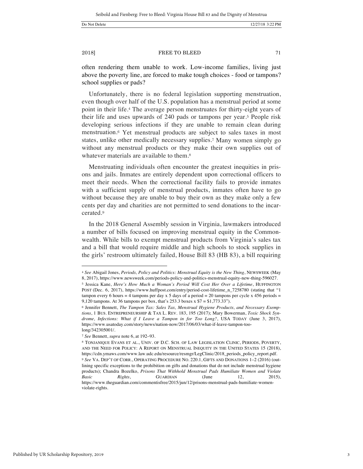$\overline{a}$ 

2018] **FREE TO BLEED** 71

often rendering them unable to work. Low-income families, living just above the poverty line, are forced to make tough choices - food or tampons? school supplies or pads?

Unfortunately, there is no federal legislation supporting menstruation, even though over half of the U.S. population has a menstrual period at some point in their life.<sup>4</sup> The average person menstruates for thirty-eight years of their life and uses upwards of 240 pads or tampons per year.<sup>5</sup> People risk developing serious infections if they are unable to remain clean during menstruation.<sup>6</sup> Yet menstrual products are subject to sales taxes in most states, unlike other medically necessary supplies.<sup>7</sup> Many women simply go without any menstrual products or they make their own supplies out of whatever materials are available to them.<sup>8</sup>

Menstruating individuals often encounter the greatest inequities in prisons and jails. Inmates are entirely dependent upon correctional officers to meet their needs. When the correctional facility fails to provide inmates with a sufficient supply of menstrual products, inmates often have to go without because they are unable to buy their own as they make only a few cents per day and charities are not permitted to send donations to the incarcerated.<sup>9</sup>

In the 2018 General Assembly session in Virginia, lawmakers introduced a number of bills focused on improving menstrual equity in the Commonwealth. While bills to exempt menstrual products from Virginia's sales tax and a bill that would require middle and high schools to stock supplies in the girls' restroom ultimately failed, House Bill 83 (HB 83), a bill requiring

<sup>4</sup> *See* Abigail Jones, *Periods, Policy and Politics: Menstrual Equity is the New Thing*, NEWSWEEK (May 8, 2017), https://www.newsweek.com/periods-policy-and-politics-menstrual-equity-new-thing-596027. <sup>5</sup> Jessica Kane, *Here's How Much a Woman's Period Will Cost Her Over a Lifetime*, HUFFINGTON POST (Dec. 6, 2017), https://www.huffpost.com/entry/period-cost-lifetime\_n\_7258780 (stating that "1

tampon every 6 hours = 4 tampons per day x 5 days of a period = 20 tampons per cycle x 456 periods = 9,120 tampons. At 36 tampons per box, that's 253.3 boxes x \$7 = \$1,773.33").

<sup>6</sup> Jennifer Bennett, *The Tampon Tax: Sales Tax, Menstrual Hygiene Products, and Necessary Exemptions*, 1 BUS. ENTREPRENEURSHIP & TAX L. REV. 183, 195 (2017); Mary Bowerman, *Toxic Shock Syndrome, Infections: What if I Leave a Tampon in for Too Long?*, USA TODAY (June 3, 2017), https://www.usatoday.com/story/news/nation-now/2017/06/03/what-if-leave-tampon-toolong/342305001/.

<sup>7</sup> *See* Bennett, *supra* note 6, at 192–93.

<sup>8</sup> TONJANIQUE EVANS ET AL., UNIV. OF D.C. SCH. OF LAW LEGISLATION CLINIC, PERIODS, POVERTY, AND THE NEED FOR POLICY: A REPORT ON MENSTRUAL INEQUITY IN THE UNITED STATES 15 (2018), https://cdn.ymaws.com/www.law.udc.edu/resource/resmgr/LegClinic/2018\_periods\_policy\_report.pdf. <sup>9</sup> *See* VA. DEP'T OF CORR., OPERATING PROCEDURE NO. 220.1, GIFTS AND DONATIONS 1–2 (2016) (outlining specific exceptions to the prohibition on gifts and donations that do not include menstrual hygiene products); Chandra Bozelko, *Prisons That Withhold Menstrual Pads Humiliate Women and Violate Basic Rights*, **GUARDIAN** (June 12, 2015), https://www.theguardian.com/commentisfree/2015/jun/12/prisons-menstrual-pads-humiliate-womenviolate-rights.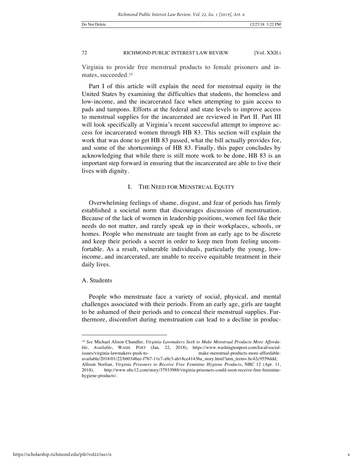Virginia to provide free menstrual products to female prisoners and inmates, succeeded.<sup>10</sup>

Part I of this article will explain the need for menstrual equity in the United States by examining the difficulties that students, the homeless and low-income, and the incarcerated face when attempting to gain access to pads and tampons. Efforts at the federal and state levels to improve access to menstrual supplies for the incarcerated are reviewed in Part II. Part III will look specifically at Virginia's recent successful attempt to improve access for incarcerated women through HB 83. This section will explain the work that was done to get HB 83 passed, what the bill actually provides for, and some of the shortcomings of HB 83. Finally, this paper concludes by acknowledging that while there is still more work to be done, HB 83 is an important step forward in ensuring that the incarcerated are able to live their lives with dignity.

#### I. THE NEED FOR MENSTRUAL EQUITY

Overwhelming feelings of shame, disgust, and fear of periods has firmly established a societal norm that discourages discussion of menstruation. Because of the lack of women in leadership positions, women feel like their needs do not matter, and rarely speak up in their workplaces, schools, or homes. People who menstruate are taught from an early age to be discrete and keep their periods a secret in order to keep men from feeling uncomfortable. As a result, vulnerable individuals, particularly the young, lowincome, and incarcerated, are unable to receive equitable treatment in their daily lives.

#### A. Students

 $\overline{a}$ 

People who menstruate face a variety of social, physical, and mental challenges associated with their periods. From an early age, girls are taught to be ashamed of their periods and to conceal their menstrual supplies. Furthermore, discomfort during menstruation can lead to a decline in produc-

<sup>10</sup> *See* Michael Alison Chandler, *Virginia Lawmakers Seek to Make Menstrual Products More Affordable, Available*, WASH. POST (Jan. 22, 2018), https://www.washingtonpost.com/local/socialissues/virginia-lawmakers-push-to- make-menstrual-products-more-affordableavailable/2018/01/22/b60346ee-f7b7-11e7-a9e3-ab18ce41436a\_story.html?utm\_term=.bc42c9559ddd; Allison Norlian, *Virginia Prisoners to Receive Free Feminine Hygiene Products*, NBC 12 (Apr. 11, 2018), http://www.nbc12.com/story/37933988/virginia-prisoners-could-soon-receive-free-femininehygiene-products/.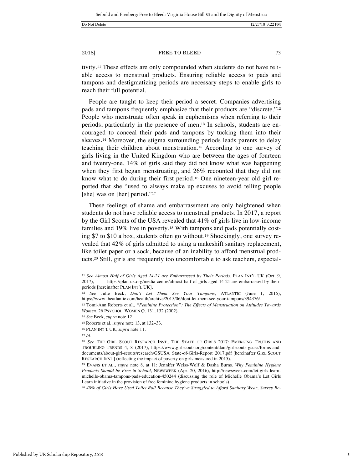tivity.<sup>11</sup> These effects are only compounded when students do not have reliable access to menstrual products. Ensuring reliable access to pads and tampons and destigmatizing periods are necessary steps to enable girls to reach their full potential.

People are taught to keep their period a secret. Companies advertising pads and tampons frequently emphasize that their products are "discrete."<sup>12</sup> People who menstruate often speak in euphemisms when referring to their periods, particularly in the presence of men.<sup>13</sup> In schools, students are encouraged to conceal their pads and tampons by tucking them into their sleeves.<sup>14</sup> Moreover, the stigma surrounding periods leads parents to delay teaching their children about menstruation.<sup>15</sup> According to one survey of girls living in the United Kingdom who are between the ages of fourteen and twenty-one, 14% of girls said they did not know what was happening when they first began menstruating, and 26% recounted that they did not know what to do during their first period.<sup>16</sup> One nineteen-year old girl reported that she "used to always make up excuses to avoid telling people [she] was on [her] period."<sup>17</sup>

These feelings of shame and embarrassment are only heightened when students do not have reliable access to menstrual products. In 2017, a report by the Girl Scouts of the USA revealed that 41% of girls live in low-income families and 19% live in poverty.<sup>18</sup> With tampons and pads potentially costing \$7 to \$10 a box, students often go without.<sup>19</sup> Shockingly, one survey revealed that 42% of girls admitted to using a makeshift sanitary replacement, like toilet paper or a sock, because of an inability to afford menstrual products.<sup>20</sup> Still, girls are frequently too uncomfortable to ask teachers, especial-

<sup>11</sup> *See Almost Half of Girls Aged 14-21 are Embarrassed by Their Periods*, PLAN INT'L UK (Oct. 9, 2017), https://plan-uk.org/media-centre/almost-half-of-girls-aged-14-21-are-embarrassed-by-theirperiods [hereinafter PLAN INT'L UK].

<sup>12</sup> *See* Julie Beck, *Don't Let Them See Your Tampons*, ATLANTIC (June 1, 2015), https://www.theatlantic.com/health/archive/2015/06/dont-let-them-see-your-tampons/394376/.

<sup>13</sup> Tomi-Ann Roberts et al., *"Feminine Protection": The Effects of Menstruation on Attitudes Towards Women*, 26 PSYCHOL. WOMEN Q. 131, 132 (2002).

<sup>14</sup> *See* Beck, *supra* note 12.

<sup>15</sup> Roberts et al., *supra* note 13, at 132–33.

<sup>16</sup> PLAN INT'L UK, *supra* note 11.

<sup>17</sup> *Id*.

<sup>18</sup> *See* THE GIRL SCOUT RESEARCH INST., THE STATE OF GIRLS 2017: EMERGING TRUTHS AND TROUBLING TRENDS 4, 8 (2017), https://www.girlscouts.org/content/dam/girlscouts-gsusa/forms-anddocuments/about-girl-scouts/research/GSUSA\_State-of-Girls-Report\_2017.pdf [hereinafter GIRL SCOUT RESEARCH INST.] (reflecting the impact of poverty on girls measured in 2015).

<sup>19</sup> EVANS ET AL., *supra* note 8, at 11; Jennifer Weiss-Wolf & Dasha Burns, *Why Feminine Hygiene Products Should be Free in School*, NEWSWEEK (Apr. 20, 2016), http://newsweek.com/let-girls-learnmichelle-obama-tampons-pads-education-450244 (discussing the role of Michelle Obama's Let Girls Learn initiative in the provision of free feminine hygiene products in schools).

<sup>20</sup> *40% of Girls Have Used Toilet Roll Because They've Struggled to Afford Sanitary Wear, Survey Re-*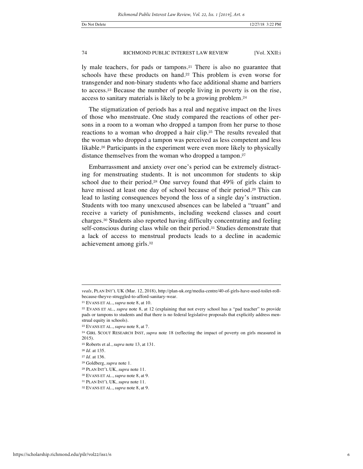ly male teachers, for pads or tampons.<sup>21</sup> There is also no guarantee that schools have these products on hand.<sup>22</sup> This problem is even worse for transgender and non-binary students who face additional shame and barriers to access.<sup>23</sup> Because the number of people living in poverty is on the rise, access to sanitary materials is likely to be a growing problem.<sup>24</sup>

The stigmatization of periods has a real and negative impact on the lives of those who menstruate. One study compared the reactions of other persons in a room to a woman who dropped a tampon from her purse to those reactions to a woman who dropped a hair clip.<sup>25</sup> The results revealed that the woman who dropped a tampon was perceived as less competent and less likable.<sup>26</sup> Participants in the experiment were even more likely to physically distance themselves from the woman who dropped a tampon.<sup>27</sup>

Embarrassment and anxiety over one's period can be extremely distracting for menstruating students. It is not uncommon for students to skip school due to their period.<sup>28</sup> One survey found that 49% of girls claim to have missed at least one day of school because of their period.<sup>29</sup> This can lead to lasting consequences beyond the loss of a single day's instruction. Students with too many unexcused absences can be labeled a "truant" and receive a variety of punishments, including weekend classes and court charges.<sup>30</sup> Students also reported having difficulty concentrating and feeling self-conscious during class while on their period.<sup>31</sup> Studies demonstrate that a lack of access to menstrual products leads to a decline in academic achievement among girls.<sup>32</sup>

*veals*, PLAN INT'L UK (Mar. 12, 2018), http://plan-uk.org/media-centre/40-of-girls-have-used-toilet-rollbecause-theyve-struggled-to-afford-sanitary-wear.

<sup>21</sup> EVANS ET AL., *supra* note 8, at 10.

<sup>22</sup> EVANS ET AL., *supra* note 8, at 12 (explaining that not every school has a "pad teacher" to provide pads or tampons to students and that there is no federal legislative proposals that explicitly address menstrual equity in schools).

<sup>23</sup> EVANS ET AL., *supra* note 8, at 7.

<sup>24</sup> GIRL SCOUT RESEARCH INST, *supra* note 18 (reflecting the impact of poverty on girls measured in 2015).

<sup>25</sup> Roberts et al., *supra* note 13, at 131.

<sup>26</sup> *Id*. at 135.

<sup>27</sup> *Id*. at 136.

<sup>28</sup> Goldberg, *supra* note 1.

<sup>29</sup> PLAN INT'L UK, *supra* note 11.

<sup>30</sup> EVANS ET AL., *supra* note 8, at 9.

<sup>31</sup> PLAN INT'L UK, *supra* note 11.

<sup>32</sup> EVANS ET AL., *supra* note 8, at 9.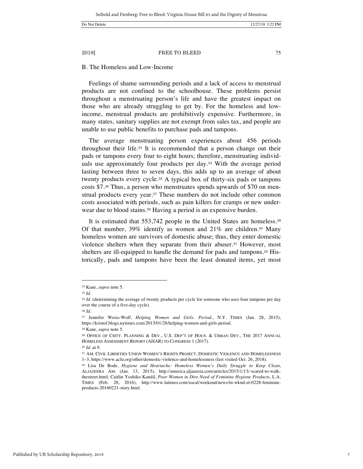#### B. The Homeless and Low-Income

Feelings of shame surrounding periods and a lack of access to menstrual products are not confined to the schoolhouse. These problems persist throughout a menstruating person's life and have the greatest impact on those who are already struggling to get by. For the homeless and lowincome, menstrual products are prohibitively expensive. Furthermore, in many states, sanitary supplies are not exempt from sales tax, and people are unable to use public benefits to purchase pads and tampons.

The average menstruating person experiences about 456 periods throughout their life.<sup>33</sup> It is recommended that a person change out their pads or tampons every four to eight hours; therefore, menstruating individuals use approximately four products per day.<sup>34</sup> With the average period lasting between three to seven days, this adds up to an average of about twenty products every cycle.<sup>35</sup> A typical box of thirty-six pads or tampons costs \$7.<sup>36</sup> Thus, a person who menstruates spends upwards of \$70 on menstrual products every year.<sup>37</sup> These numbers do not include other common costs associated with periods, such as pain killers for cramps or new underwear due to blood stains.<sup>38</sup> Having a period is an expensive burden.

It is estimated that 553,742 people in the United States are homeless.<sup>39</sup> Of that number,  $39\%$  identify as women and  $21\%$  are children.<sup>40</sup> Many homeless women are survivors of domestic abuse; thus, they enter domestic violence shelters when they separate from their abuser.<sup>41</sup> However, most shelters are ill-equipped to handle the demand for pads and tampons.<sup>42</sup> Historically, pads and tampons have been the least donated items, yet most

 $\overline{a}$ 

<sup>38</sup> Kane, *supra* note 5.

<sup>33</sup> Kane, *supra* note 5.

<sup>34</sup> *Id.*

<sup>&</sup>lt;sup>35</sup> *Id.* (determining the average of twenty products per cycle for someone who uses four tampons per day over the course of a five-day cycle).

<sup>36</sup> *Id.* 

<sup>37</sup> Jennifer Weiss-Wolf, *Helping Women and Girls. Period.*, N.Y. TIMES (Jan. 28, 2015), https://kristof.blogs.nytimes.com/2015/01/28/helping-women-and-girls-period.

<sup>39</sup> OFFICE OF CMTY. PLANNING & DEV., U.S. DEP'T OF HOUS. & URBAN DEV., THE 2017 ANNUAL HOMELESS ASSESSMENT REPORT (AHAR) TO CONGRESS 1 (2017).

<sup>40</sup> *Id*. at 9.

<sup>41</sup> AM. CIVIL LIBERTIES UNION WOMEN'S RIGHTS PROJECT, DOMESTIC VIOLENCE AND HOMELESSNESS 1–3, https://www.aclu.org/other/domestic-violence-and-homelessness (last visited Oct. 26, 2018).

<sup>42</sup> Lisa De Bode, *Hygiene and Heartache: Homeless Women's Daily Struggle to Keep Clean*, ALJAZEERA AM. (Jan. 13, 2015), http://america.aljazeera.com/articles/2015/1/13/-scared-to-walkthestreet.html; Caitlin Yoshiko Kandil, *Poor Women in Dire Need of Feminine Hygiene Products*, L.A. TIMES (Feb. 28, 2016), http://www.latimes.com/socal/weekend/news/tn-wknd-et-0228-feminineproducts-20160221-story.html.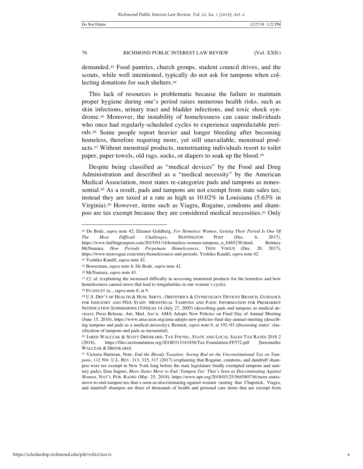demanded.<sup>43</sup> Food pantries, church groups, student council drives, and the scouts, while well intentioned, typically do not ask for tampons when collecting donations for such shelters.<sup>44</sup>

This lack of resources is problematic because the failure to maintain proper hygiene during one's period raises numerous health risks, such as skin infections, urinary tract and bladder infections, and toxic shock syndrome.<sup>45</sup> Moreover, the instability of homelessness can cause individuals who once had regularly-scheduled cycles to experience unpredictable periods.<sup>46</sup> Some people report heavier and longer bleeding after becoming homeless, therefore requiring more, yet still unavailable, menstrual products.<sup>47</sup> Without menstrual products, menstruating individuals resort to toilet paper, paper towels, old rags, socks, or diapers to soak up the blood.<sup>48</sup>

Despite being classified as "medical devices" by the Food and Drug Administration and described as a "medical necessity" by the American Medical Association, most states re-categorize pads and tampons as nonessential.<sup>49</sup> As a result, pads and tampons are not exempt from state sales tax; instead they are taxed at a rate as high as 10.02% in Louisiana (5.63% in Virginia).<sup>50</sup> However, items such as Viagra, Rogaine, condoms and shampoo are tax exempt because they are considered medical necessities.<sup>51</sup> Only

<sup>44</sup> Yoshiko Kandil, *supra* note 42.

 $\overline{a}$ 

<sup>48</sup> EVANS ET AL., *supra* note 8, at 9.

<sup>43</sup> De Bode, *supra* note 42; Eleanor Goldberg, *For Homeless Women, Getting Their Period Is One Of The Most Difficult Challenges*, HUFFINGTON POST (Dec. 6, 2017), https://www.huffingtonpost.com/2015/01/14/homeless-women-tampons\_n\_6465230.html; Brittney McNamara, *How Periods Perpetuate Homelessness*, TEEN VOGUE (Dec. 20, 2017), https://www.teenvogue.com/story/homelessness-and-periods; Yoshiko Kandil, *supra* note 42.

<sup>45</sup> Bowerman, *supra* note 6; De Bode, *supra* note 42.

<sup>46</sup> McNamara, *supra* note 43.

<sup>&</sup>lt;sup>47</sup> *Cf. id.* (explaining the increased difficulty in accessing menstrual products for the homeless and how homelessness caused stress that lead to irregularities in one woman's cycle).

<sup>49</sup> U.S. DEP'T OF HEALTH & HUM. SERVS., OBSTETRICS & GYNECOLOGY DEVICES BRANCH, GUIDANCE FOR INDUSTRY AND FDA STAFF: MENSTRUAL TAMPONS AND PADS: INFORMATION FOR PREMARKET NOTIFICATION SUBMISSIONS (510(K)S) 14 (July 27, 2005) (describing pads and tampons as medical devices); Press Release, Am. Med. Ass'n, AMA Adopts New Policies on Final Day of Annual Meeting (June 15, 2016), https://www.ama-assn.org/ama-adopts-new-policies-final-day-annual-meeting (describing tampons and pads as a medical necessity); Bennett, *supra* note 6, at 192–93 (discussing states' classification of tampons and pads as inessential).

<sup>50</sup> JARED WALCZAK & SCOTT DRENKARD, TAX FOUND., STATE AND LOCAL SALES TAX RATES 2018 2 (2018), https://files.taxfoundation.org/20180313143458/Tax-Foundation-FF572.pdf [hereinafter WALCZAK & DRENKARD].

<sup>51</sup> Victoria Hartman, Note, *End the Bloody Taxation: Seeing Red on the Unconstitutional Tax on Tampons*, 112 NW. U.L. REV. 313, 315, 317 (2017) (explaining that Rogaine, condoms, and dandruff shampoo were tax exempt in New York long before the state legislature finally exempted tampons and sanitary pads); Ema Sagner, *More States Move to End 'Tampon Tax' That's Seen as Discriminating Against Women*, NAT'L PUB. RADIO (Mar. 25, 2018), https://www.npr.org/2018/03/25/564580736/more-statesmove-to-end-tampon-tax-that-s-seen-as-discriminating-against-women (noting that Chapstick, Viagra, and dandruff shampoo are three of thousands of health and personal care items that are exempt from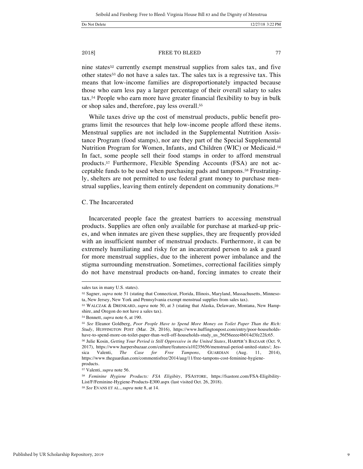or shop sales and, therefore, pay less overall.<sup>55</sup>

nine states<sup>52</sup> currently exempt menstrual supplies from sales tax, and five other states<sup>53</sup> do not have a sales tax. The sales tax is a regressive tax. This means that low-income families are disproportionately impacted because those who earn less pay a larger percentage of their overall salary to sales tax.<sup>54</sup> People who earn more have greater financial flexibility to buy in bulk

While taxes drive up the cost of menstrual products, public benefit programs limit the resources that help low-income people afford these items. Menstrual supplies are not included in the Supplemental Nutrition Assistance Program (food stamps), nor are they part of the Special Supplemental Nutrition Program for Women, Infants, and Children (WIC) or Medicaid.<sup>56</sup> In fact, some people sell their food stamps in order to afford menstrual products.<sup>57</sup> Furthermore, Flexible Spending Accounts (FSA) are not acceptable funds to be used when purchasing pads and tampons.<sup>58</sup> Frustratingly, shelters are not permitted to use federal grant money to purchase menstrual supplies, leaving them entirely dependent on community donations.<sup>59</sup>

#### C. The Incarcerated

Incarcerated people face the greatest barriers to accessing menstrual products. Supplies are often only available for purchase at marked-up prices, and when inmates are given these supplies, they are frequently provided with an insufficient number of menstrual products. Furthermore, it can be extremely humiliating and risky for an incarcerated person to ask a guard for more menstrual supplies, due to the inherent power imbalance and the stigma surrounding menstruation. Sometimes, correctional facilities simply do not have menstrual products on-hand, forcing inmates to create their

sales tax in many U.S. states).

<sup>&</sup>lt;sup>52</sup> Sagner, *supra* note 51 (stating that Connecticut, Florida, Illinois, Maryland, Massachusetts, Minnesota, New Jersey, New York and Pennsylvania exempt menstrual supplies from sales tax).

<sup>53</sup> WALCZAK & DRENKARD, *supra* note 50, at 3 (stating that Alaska, Delaware, Montana, New Hampshire, and Oregon do not have a sales tax).

<sup>54</sup> Bennett, *supra* note 6, at 190.

<sup>55</sup> *See* Eleanor Goldberg, *Poor People Have to Spend More Money on Toilet Paper Than the Rich: Study*, HUFFINGTON POST (Mar. 28, 2016), https://www.huffingtonpost.com/entry/poor-householdshave-to-spend-more-on-toilet-paper-than-well-off-households-study\_us\_56f56eeee4b014d3fe22fc65.

<sup>56</sup> Julie Kosin, *Getting Your Period is Still Oppressive in the United States*, HARPER'S BAZAAR (Oct. 9, 2017), https://www.harpersbazaar.com/culture/features/a10235656/menstrual-period-united-states/; Jessica Valenti, *The Case for Free Tampons*, GUARDIAN (Aug. 11, 2014), https://www.theguardian.com/commentisfree/2014/aug/11/free-tampons-cost-feminine-hygieneproducts.

<sup>57</sup> Valenti, *supra* note 56.

<sup>58</sup> *Feminine Hygiene Products: FSA Eligibity*, FSASTORE, https://fsastore.com/FSA-Eligibility-List/F/Feminine-Hygiene-Products-E300.aspx (last visited Oct. 26, 2018).

<sup>59</sup> *See* EVANS ET AL., *supra* note 8, at 14.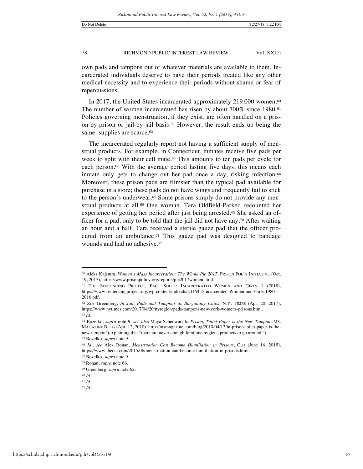own pads and tampons out of whatever materials are available to them. Incarcerated individuals deserve to have their periods treated like any other medical necessity and to experience their periods without shame or fear of repercussions.

In 2017, the United States incarcerated approximately 219,000 women.<sup>60</sup> The number of women incarcerated has risen by about 700% since 1980.<sup>61</sup> Policies governing menstruation, if they exist, are often handled on a prison-by-prison or jail-by-jail basis.<sup>62</sup> However, the result ends up being the same: supplies are scarce.<sup>63</sup>

The incarcerated regularly report not having a sufficient supply of menstrual products. For example, in Connecticut, inmates receive five pads per week to split with their cell mate.<sup>64</sup> This amounts to ten pads per cycle for each person.<sup>65</sup> With the average period lasting five days, this means each inmate only gets to change out her pad once a day, risking infection.<sup>66</sup> Moreover, these prison pads are flimsier than the typical pad available for purchase in a store; these pads do not have wings and frequently fail to stick to the person's underwear.<sup>67</sup> Some prisons simply do not provide any menstrual products at all.<sup>68</sup> One woman, Tara Oldfield-Parker, recounted her experience of getting her period after just being arrested.<sup>69</sup> She asked an officer for a pad, only to be told that the jail did not have any.<sup>70</sup> After waiting an hour and a half, Tara received a sterile gauze pad that the officer procured from an ambulance.<sup>71</sup> This gauze pad was designed to bandage wounds and had no adhesive.<sup>72</sup>

<sup>60</sup> Aleks Kajstura, *Women's Mass Incarceration: The Whole Pie 2017*, PRISON POL'Y INITIATIVE (Oct. 19, 2017), https://www.prisonpolicy.org/reports/pie2017women.html.

<sup>61</sup> THE SENTENCING PROJECT*,* FACT SHEET: INCARCERATED WOMEN AND GIRLS 1 (2018), https://www.sentencingproject.org/wp-content/uploads/2016/02/Incarcerated-Women-and-Girls-1980- 2016.pdf.

<sup>62</sup> Zoe Greenberg, *In Jail, Pads and Tampons as Bargaining Chips*, N.Y. TIMES (Apr. 20, 2017), https://www.nytimes.com/2017/04/20/nyregion/pads-tampons-new-york-womens-prisons.html. <sup>63</sup> *Id*.

<sup>64</sup> Bozelko, *supra* note 9; *see also* Maya Schenwar, *In Prison, Toilet Paper is the New Tampon*, MS. MAGAZINE BLOG (Apr. 12, 2010), http://msmagazine.com/blog/2010/04/12/in-prison-toilet-paper-is-thenew-tampon/ (explaining that "there are never enough feminine hygiene products to go around."). <sup>65</sup> Bozelko, *supra* note 9.

<sup>66</sup> *Id*.; *see* Alex Ronan, *Menstruation Can Become Humiliation in Prisons*, CUT (June 16, 2015), https://www.thecut.com/2015/06/menstruation-can-become-humiliation-in-prisons.html.

<sup>67</sup> Bozelko, *supra* note 9.

<sup>68</sup> Ronan, *supra* note 66. <sup>69</sup> Greenberg, *supra* note 62.

<sup>70</sup> *Id*. <sup>71</sup> *Id*.

<sup>72</sup> *Id*.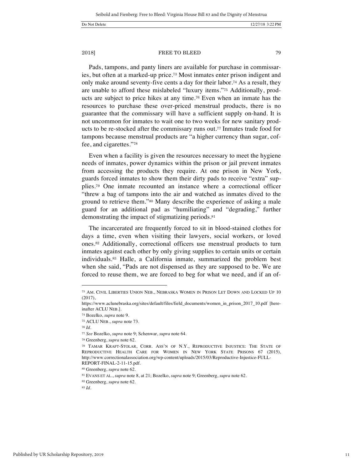Pads, tampons, and panty liners are available for purchase in commissaries, but often at a marked-up price.<sup>73</sup> Most inmates enter prison indigent and only make around seventy-five cents a day for their labor.<sup>74</sup> As a result, they are unable to afford these mislabeled "luxury items."<sup>75</sup> Additionally, products are subject to price hikes at any time.<sup>76</sup> Even when an inmate has the resources to purchase these over-priced menstrual products, there is no guarantee that the commissary will have a sufficient supply on-hand. It is not uncommon for inmates to wait one to two weeks for new sanitary products to be re-stocked after the commissary runs out.<sup>77</sup> Inmates trade food for tampons because menstrual products are "a higher currency than sugar, coffee, and cigarettes."<sup>78</sup>

Even when a facility is given the resources necessary to meet the hygiene needs of inmates, power dynamics within the prison or jail prevent inmates from accessing the products they require. At one prison in New York, guards forced inmates to show them their dirty pads to receive "extra" supplies.<sup>79</sup> One inmate recounted an instance where a correctional officer "threw a bag of tampons into the air and watched as inmates dived to the ground to retrieve them."<sup>80</sup> Many describe the experience of asking a male guard for an additional pad as "humiliating" and "degrading," further demonstrating the impact of stigmatizing periods.<sup>81</sup>

The incarcerated are frequently forced to sit in blood-stained clothes for days a time, even when visiting their lawyers, social workers, or loved ones.<sup>82</sup> Additionally, correctional officers use menstrual products to turn inmates against each other by only giving supplies to certain units or certain individuals.<sup>83</sup> Halle, a California inmate, summarized the problem best when she said, "Pads are not dispensed as they are supposed to be. We are forced to reuse them, we are forced to beg for what we need, and if an of-

 $\overline{a}$ 

<sup>82</sup> Greenberg, *supra* note 62.

<sup>73</sup> AM. CIVIL LIBERTIES UNION NEB., NEBRASKA WOMEN IN PRISON LET DOWN AND LOCKED UP 10 (2017),

https://www.aclunebraska.org/sites/default/files/field\_documents/women\_in\_prison\_2017\_10.pdf [hereinafter ACLU NEB.].

<sup>74</sup> Bozelko, *supra* note 9.

<sup>75</sup> ACLU NEB., *supra* note 73.

<sup>76</sup> *Id*.

<sup>77</sup> *See* Bozelko, *supra* note 9; Schenwar, *supra* note 64.

<sup>78</sup> Greenberg, *supra* note 62.

<sup>79</sup> TAMAR KRAFT-STOLAR, CORR. ASS'N OF N.Y., REPRODUCTIVE INJUSTICE: THE STATE OF REPRODUCTIVE HEALTH CARE FOR WOMEN IN NEW YORK STATE PRISONS 67 (2015), http://www.correctionalassociation.org/wp-content/uploads/2015/03/Reproductive-Injustice-FULL-REPORT-FINAL-2-11-15.pdf.

<sup>80</sup> Greenberg, *supra* note 62.

<sup>81</sup> EVANS ET AL., *supra* note 8, at 21; Bozelko, *supra* note 9; Greenberg, *supra* note 62.

<sup>83</sup> *Id*.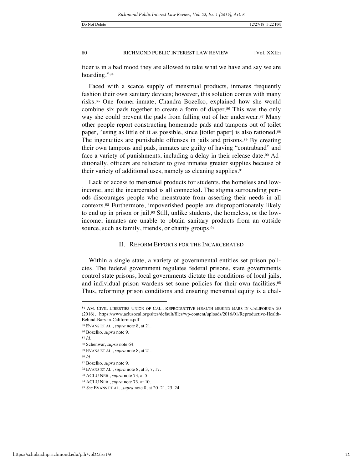ficer is in a bad mood they are allowed to take what we have and say we are hoarding."<sup>84</sup>

Faced with a scarce supply of menstrual products, inmates frequently fashion their own sanitary devices; however, this solution comes with many risks.<sup>85</sup> One former-inmate, Chandra Bozelko, explained how she would combine six pads together to create a form of diaper.<sup>86</sup> This was the only way she could prevent the pads from falling out of her underwear.<sup>87</sup> Many other people report constructing homemade pads and tampons out of toilet paper, "using as little of it as possible, since [toilet paper] is also rationed.<sup>88</sup> The ingenuities are punishable offenses in jails and prisons.<sup>89</sup> By creating their own tampons and pads, inmates are guilty of having "contraband" and face a variety of punishments, including a delay in their release date.<sup>90</sup> Additionally, officers are reluctant to give inmates greater supplies because of their variety of additional uses, namely as cleaning supplies.<sup>91</sup>

Lack of access to menstrual products for students, the homeless and lowincome, and the incarcerated is all connected. The stigma surrounding periods discourages people who menstruate from asserting their needs in all contexts.<sup>92</sup> Furthermore, impoverished people are disproportionately likely to end up in prison or jail.<sup>93</sup> Still, unlike students, the homeless, or the lowincome, inmates are unable to obtain sanitary products from an outside source, such as family, friends, or charity groups.<sup>94</sup>

### II. REFORM EFFORTS FOR THE INCARCERATED

Within a single state, a variety of governmental entities set prison policies. The federal government regulates federal prisons, state governments control state prisons, local governments dictate the conditions of local jails, and individual prison wardens set some policies for their own facilities.<sup>95</sup> Thus, reforming prison conditions and ensuring menstrual equity is a chal-

<sup>84</sup> AM. CIVIL LIBERTIES UNION OF CAL., REPRODUCTIVE HEALTH BEHIND BARS IN CALIFORNIA 20 (2016), https://www.aclusocal.org/sites/default/files/wp-content/uploads/2016/01/Reproductive-Health-Behind-Bars-in-California.pdf.

<sup>85</sup> EVANS ET AL., *supra* note 8, at 21.

<sup>86</sup> Bozelko, *supra* note 9.

<sup>87</sup> *Id*.

<sup>88</sup> Schenwar, *supra* note 64.

<sup>89</sup> EVANS ET AL., *supra* note 8, at 21.

<sup>90</sup> *Id*.

<sup>91</sup> Bozelko, *supra* note 9.

<sup>92</sup> EVANS ET AL., *supra* note 8, at 3, 7, 17.

<sup>93</sup> ACLU NEB., *supra* note 73, at 5.

<sup>94</sup> ACLU NEB., *supra* note 73, at 10.

<sup>95</sup> *See* EVANS ET AL., *supra* note 8, at 20–21, 23–24.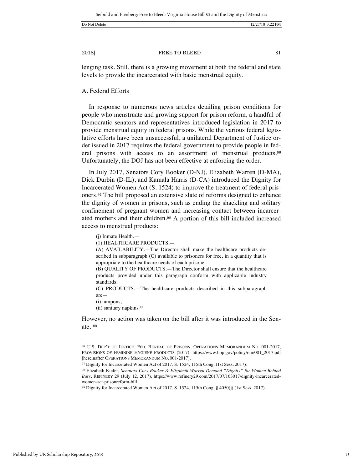2018] **EXECUTE:** FREE TO BLEED 81

lenging task. Still, there is a growing movement at both the federal and state levels to provide the incarcerated with basic menstrual equity.

### A. Federal Efforts

In response to numerous news articles detailing prison conditions for people who menstruate and growing support for prison reform, a handful of Democratic senators and representatives introduced legislation in 2017 to provide menstrual equity in federal prisons. While the various federal legislative efforts have been unsuccessful, a unilateral Department of Justice order issued in 2017 requires the federal government to provide people in federal prisons with access to an assortment of menstrual products.<sup>96</sup> Unfortunately, the DOJ has not been effective at enforcing the order.

In July 2017, Senators Cory Booker (D-NJ), Elizabeth Warren (D-MA), Dick Durbin (D-IL), and Kamala Harris (D-CA) introduced the Dignity for Incarcerated Women Act (S. 1524) to improve the treatment of federal prisoners.<sup>97</sup> The bill proposed an extensive slate of reforms designed to enhance the dignity of women in prisons, such as ending the shackling and solitary confinement of pregnant women and increasing contact between incarcerated mothers and their children.<sup>98</sup> A portion of this bill included increased access to menstrual products:

(j) Inmate Health.—

(1) HEALTHCARE PRODUCTS.—

(A) AVAILABILITY.—The Director shall make the healthcare products described in subparagraph (C) available to prisoners for free, in a quantity that is appropriate to the healthcare needs of each prisoner.

(B) QUALITY OF PRODUCTS.—The Director shall ensure that the healthcare products provided under this paragraph conform with applicable industry standards.

(C) PRODUCTS.—The healthcare products described in this subparagraph are—

(i) tampons;

 $\overline{a}$ 

(ii) sanitary napkins<sup>99</sup>

However, no action was taken on the bill after it was introduced in the Senate.<sup>100</sup>

<sup>96</sup> U.S. DEP'T OF JUSTICE, FED. BUREAU OF PRISONS, OPERATIONS MEMORANDUM NO. 001-2017, PROVISIONS OF FEMININE HYGIENE PRODUCTS (2017), https://www.bop.gov/policy/om/001\_2017.pdf [hereinafter OPERATIONS MEMORANDUM NO. 001-2017].

<sup>&</sup>lt;sup>97</sup> Dignity for Incarcerated Women Act of 2017, S. 1524, 115th Cong. (1st Sess. 2017).

<sup>98</sup> Elizabeth Kiefer, *Senators Cory Booker & Elizabeth Warren Demand "Dignity" for Women Behind Bars*, REFINERY 29 (July 12, 2017), https://www.refinery29.com/2017/07/163017/dignity-incarceratedwomen-act-prisonreform-bill.

<sup>99</sup> Dignity for Incarcerated Women Act of 2017, S. 1524, 115th Cong. § 4050(j) (1st Sess. 2017).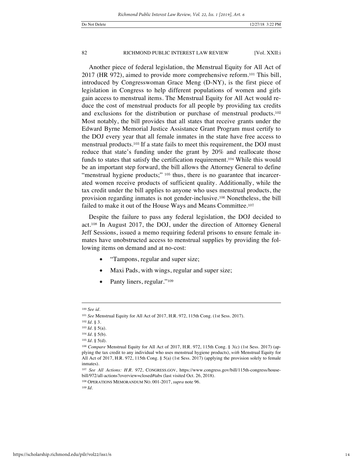Another piece of federal legislation, the Menstrual Equity for All Act of 2017 (HR 972), aimed to provide more comprehensive reform.<sup>101</sup> This bill, introduced by Congresswoman Grace Meng (D-NY), is the first piece of legislation in Congress to help different populations of women and girls gain access to menstrual items. The Menstrual Equity for All Act would reduce the cost of menstrual products for all people by providing tax credits and exclusions for the distribution or purchase of menstrual products.<sup>102</sup> Most notably, the bill provides that all states that receive grants under the Edward Byrne Memorial Justice Assistance Grant Program must certify to the DOJ every year that all female inmates in the state have free access to menstrual products.<sup>103</sup> If a state fails to meet this requirement, the DOJ must reduce that state's funding under the grant by 20% and reallocate those funds to states that satisfy the certification requirement.<sup>104</sup> While this would be an important step forward, the bill allows the Attorney General to define "menstrual hygiene products;" 105 thus, there is no guarantee that incarcerated women receive products of sufficient quality. Additionally, while the tax credit under the bill applies to anyone who uses menstrual products, the provision regarding inmates is not gender-inclusive.<sup>106</sup> Nonetheless, the bill failed to make it out of the House Ways and Means Committee.<sup>107</sup>

Despite the failure to pass any federal legislation, the DOJ decided to act.<sup>108</sup> In August 2017, the DOJ, under the direction of Attorney General Jeff Sessions, issued a memo requiring federal prisons to ensure female inmates have unobstructed access to menstrual supplies by providing the following items on demand and at no-cost:

- "Tampons, regular and super size;
- Maxi Pads, with wings, regular and super size;
- Panty liners, regular."<sup>109</sup>

 $\overline{a}$ 

<sup>109</sup> *Id*.

<sup>100</sup> *See id*.

<sup>101</sup> *See* Menstrual Equity for All Act of 2017, H.R. 972, 115th Cong. (1st Sess. 2017).

<sup>102</sup> *Id*. § 3.

<sup>103</sup> *Id*. § 5(a).

<sup>104</sup> *Id*. § 5(b).

<sup>105</sup> *Id*. § 5(d).

<sup>106</sup> *Compare* Menstrual Equity for All Act of 2017, H.R. 972, 115th Cong. § 3(c) (1st Sess. 2017) (applying the tax credit to any individual who uses menstrual hygiene products), *with* Menstrual Equity for All Act of 2017, H.R. 972, 115th Cong. § 5(a) (1st Sess. 2017) (applying the provision solely to female inmates).

<sup>107</sup> *See All Actions: H.R. 972*, CONGRESS.GOV, https://www.congress.gov/bill/115th-congress/housebill/972/all-actions?overview=closed#tabs (last visited Oct. 26, 2018).

<sup>108</sup> OPERATIONS MEMORANDUM NO. 001-2017, *supra* note 96.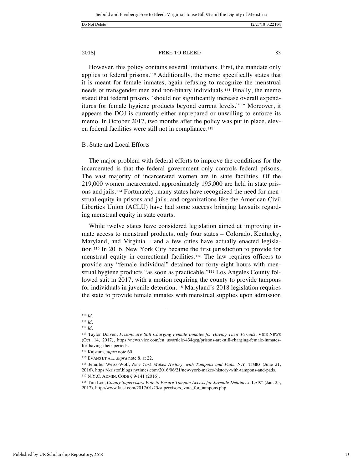### 2018] **EXECUTE:** FREE TO BLEED 83

However, this policy contains several limitations. First, the mandate only applies to federal prisons.<sup>110</sup> Additionally, the memo specifically states that it is meant for female inmates, again refusing to recognize the menstrual needs of transgender men and non-binary individuals.<sup>111</sup> Finally, the memo stated that federal prisons "should not significantly increase overall expenditures for female hygiene products beyond current levels."<sup>112</sup> Moreover, it appears the DOJ is currently either unprepared or unwilling to enforce its memo. In October 2017, two months after the policy was put in place, eleven federal facilities were still not in compliance.<sup>113</sup>

#### B. State and Local Efforts

The major problem with federal efforts to improve the conditions for the incarcerated is that the federal government only controls federal prisons. The vast majority of incarcerated women are in state facilities. Of the 219,000 women incarcerated, approximately 195,000 are held in state prisons and jails.<sup>114</sup> Fortunately, many states have recognized the need for menstrual equity in prisons and jails, and organizations like the American Civil Liberties Union (ACLU) have had some success bringing lawsuits regarding menstrual equity in state courts.

While twelve states have considered legislation aimed at improving inmate access to menstrual products, only four states – Colorado, Kentucky, Maryland, and Virginia – and a few cities have actually enacted legislation.<sup>115</sup> In 2016, New York City became the first jurisdiction to provide for menstrual equity in correctional facilities.<sup>116</sup> The law requires officers to provide any "female individual" detained for forty-eight hours with menstrual hygiene products "as soon as practicable."<sup>117</sup> Los Angeles County followed suit in 2017, with a motion requiring the county to provide tampons for individuals in juvenile detention.<sup>118</sup> Maryland's 2018 legislation requires the state to provide female inmates with menstrual supplies upon admission

<sup>110</sup> *Id*.

<sup>111</sup> *Id*.

<sup>112</sup> *Id*.

<sup>113</sup> Taylor Dolven, *Prisons are Still Charging Female Inmates for Having Their Periods*, VICE NEWS (Oct. 14, 2017), https://news.vice.com/en\_us/article/434qzg/prisons-are-still-charging-female-inmatesfor-having-their-periods.

<sup>114</sup> Kajstura, *supra* note 60.

<sup>115</sup> EVANS ET AL., *supra* note 8, at 22.

<sup>116</sup> Jennifer Weiss-Wolf, *New York Makes History, with Tampons and Pads*, N.Y. TIMES (June 21, 2016), https://kristof.blogs.nytimes.com/2016/06/21/new-york-makes-history-with-tampons-and-pads.

<sup>117</sup> N.Y.C. ADMIN. CODE § 9-141 (2016).

<sup>118</sup> Tim Loc, *County Supervisors Vote to Ensure Tampon Access for Juvenile Detainees*, LAIST (Jan. 25, 2017), http://www.laist.com/2017/01/25/supervisors\_vote\_for\_tampons.php.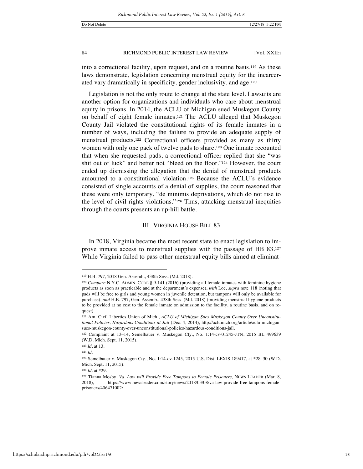into a correctional facility, upon request, and on a routine basis.<sup>119</sup> As these laws demonstrate, legislation concerning menstrual equity for the incarcerated vary dramatically in specificity, gender inclusivity, and age.<sup>120</sup>

Legislation is not the only route to change at the state level. Lawsuits are another option for organizations and individuals who care about menstrual equity in prisons. In 2014, the ACLU of Michigan sued Muskegon County on behalf of eight female inmates.<sup>121</sup> The ACLU alleged that Muskegon County Jail violated the constitutional rights of its female inmates in a number of ways, including the failure to provide an adequate supply of menstrual products.<sup>122</sup> Correctional officers provided as many as thirty women with only one pack of twelve pads to share.<sup>123</sup> One inmate recounted that when she requested pads, a correctional officer replied that she "was shit out of luck" and better not "bleed on the floor."<sup>124</sup> However, the court ended up dismissing the allegation that the denial of menstrual products amounted to a constitutional violation.<sup>125</sup> Because the ACLU's evidence consisted of single accounts of a denial of supplies, the court reasoned that these were only temporary, "de minimis deprivations, which do not rise to the level of civil rights violations."<sup>126</sup> Thus, attacking menstrual inequities through the courts presents an up-hill battle.

### III. VIRGINIA HOUSE BILL 83

In 2018, Virginia became the most recent state to enact legislation to improve inmate access to menstrual supplies with the passage of HB 83.<sup>127</sup> While Virginia failed to pass other menstrual equity bills aimed at eliminat-

<sup>119</sup> H.B. 797, 2018 Gen. Assemb., 438th Sess. (Md. 2018).

<sup>120</sup> *Compare* N.Y.C. ADMIN. CODE § 9-141 (2016) (providing all female inmates with feminine hygiene products as soon as practicable and at the department's expense), *with* Loc, *supra* note 118 (noting that pads will be free to girls and young women in juvenile detention, but tampons will only be available for purchase), *and* H.B. 797, Gen. Assemb., 438th Sess. (Md. 2018) (providing menstrual hygiene products to be provided at no cost to the female inmate on admission to the facility, a routine basis, and on request).

<sup>121</sup> Am. Civil Liberties Union of Mich., *ACLU of Michigan Sues Muskegon County Over Unconstitutional Policies, Hazardous Conditions at Jail* (Dec. 4, 2014), http://aclumich.org/article/aclu-michigansues-muskegon-county-over-unconstitutional-policies-hazardous-conditions-jail.

<sup>122</sup> Complaint at 13–14, Semelbauer v. Muskegon Cty., No. 1:14-cv-01245-JTN, 2015 BL 499639 (W.D. Mich. Sept. 11, 2015).

<sup>123</sup> *Id*. at 13.

<sup>124</sup> *Id*.

<sup>125</sup> Semelbauer v. Muskegon Cty., No. 1:14-cv-1245, 2015 U.S. Dist. LEXIS 189417, at \*28–30 (W.D. Mich. Sept. 11, 2015).

<sup>126</sup> *Id*. at \*29.

<sup>127</sup> Tianna Mosby, *Va. Law will Provide Free Tampons to Female Prisoners*, NEWS LEADER (Mar. 8, 2018), https://www.newsleader.com/story/news/2018/03/08/va-law-provide-free-tampons-femaleprisoners/406471002/.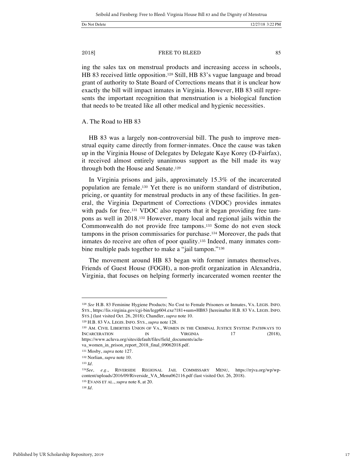ing the sales tax on menstrual products and increasing access in schools, HB 83 received little opposition.<sup>128</sup> Still, HB 83's vague language and broad grant of authority to State Board of Corrections means that it is unclear how exactly the bill will impact inmates in Virginia. However, HB 83 still represents the important recognition that menstruation is a biological function that needs to be treated like all other medical and hygienic necessities.

#### A. The Road to HB 83

HB 83 was a largely non-controversial bill. The push to improve menstrual equity came directly from former-inmates. Once the cause was taken up in the Virginia House of Delegates by Delegate Kaye Korey (D-Fairfax), it received almost entirely unanimous support as the bill made its way through both the House and Senate.<sup>129</sup>

In Virginia prisons and jails, approximately 15.3% of the incarcerated population are female.<sup>130</sup> Yet there is no uniform standard of distribution, pricing, or quantity for menstrual products in any of these facilities. In general, the Virginia Department of Corrections (VDOC) provides inmates with pads for free.<sup>131</sup> VDOC also reports that it began providing free tampons as well in 2018.<sup>132</sup> However, many local and regional jails within the Commonwealth do not provide free tampons.<sup>133</sup> Some do not even stock tampons in the prison commissaries for purchase.<sup>134</sup> Moreover, the pads that inmates do receive are often of poor quality.<sup>135</sup> Indeed, many inmates combine multiple pads together to make a "jail tampon."<sup>136</sup>

The movement around HB 83 began with former inmates themselves. Friends of Guest House (FOGH), a non-profit organization in Alexandria, Virginia, that focuses on helping formerly incarcerated women reenter the

<sup>128</sup> *See* H.B. 83 Feminine Hygiene Products; No Cost to Female Prisoners or Inmates, VA. LEGIS. INFO. SYS., https://lis.virginia.gov/cgi-bin/legp604.exe?181+sum+HB83 [hereinafter H.B. 83 VA. LEGIS. INFO. SYS.] (last visited Oct. 26, 2018); Chandler, *supra* note 10.

<sup>129</sup> H.B. 83 VA. LEGIS. INFO. SYS., *supra* note 128.

<sup>130</sup> AM. CIVIL LIBERTIES UNION OF VA., WOMEN IN THE CRIMINAL JUSTICE SYSTEM: PATHWAYS TO INCARCERATION IN VIRGINIA 17 (2018). https://www.acluva.org/sites/default/files/field\_documents/aclu-

va\_women\_in\_prison\_report\_2018\_final\_09062018.pdf. <sup>131</sup> Mosby, *supra* note 127.

<sup>132</sup> Norlian, *supra* note 10.

<sup>133</sup> *Id*.

<sup>134</sup>*See, e.g.*, RIVERSIDE REGIONAL JAIL COMMISSARY MENU, https://rrjva.org/wp/wpcontent/uploads/2016/09/Riverside\_VA\_Menu062116.pdf (last visited Oct. 26, 2018). <sup>135</sup> EVANS ET AL., *supra* note 8, at 20.

<sup>136</sup> *Id*.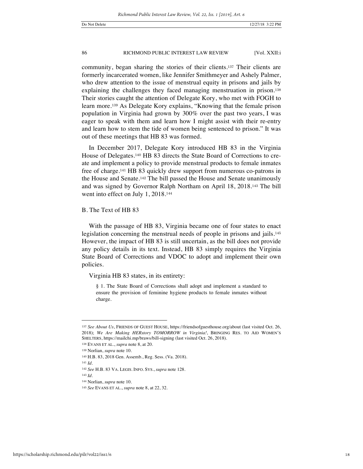community, began sharing the stories of their clients.<sup>137</sup> Their clients are formerly incarcerated women, like Jennifer Smithmeyer and Ashely Palmer, who drew attention to the issue of menstrual equity in prisons and jails by explaining the challenges they faced managing menstruation in prison.<sup>138</sup> Their stories caught the attention of Delegate Kory, who met with FOGH to learn more.<sup>139</sup> As Delegate Kory explains, "Knowing that the female prison population in Virginia had grown by 300% over the past two years, I was eager to speak with them and learn how I might assist with their re-entry and learn how to stem the tide of women being sentenced to prison." It was out of these meetings that HB 83 was formed.

In December 2017, Delegate Kory introduced HB 83 in the Virginia House of Delegates.<sup>140</sup> HB 83 directs the State Board of Corrections to create and implement a policy to provide menstrual products to female inmates free of charge.<sup>141</sup> HB 83 quickly drew support from numerous co-patrons in the House and Senate.<sup>142</sup> The bill passed the House and Senate unanimously and was signed by Governor Ralph Northam on April 18, 2018.<sup>143</sup> The bill went into effect on July 1, 2018.<sup>144</sup>

B. The Text of HB 83

With the passage of HB 83, Virginia became one of four states to enact legislation concerning the menstrual needs of people in prisons and jails.<sup>145</sup> However, the impact of HB 83 is still uncertain, as the bill does not provide any policy details in its text. Instead, HB 83 simply requires the Virginia State Board of Corrections and VDOC to adopt and implement their own policies.

Virginia HB 83 states, in its entirety:

§ 1. The State Board of Corrections shall adopt and implement a standard to ensure the provision of feminine hygiene products to female inmates without charge.

<sup>137</sup> *See About Us*, FRIENDS OF GUEST HOUSE, https://friendsofguesthouse.org/about (last visited Oct. 26, 2018); *We Are Making HERstory TOMORROW in Virginia!*, BRINGING RES. TO AID WOMEN'S SHELTERS, https://mailchi.mp/braws/bill-signing (last visited Oct. 26, 2018).

<sup>138</sup> EVANS ET AL., *supra* note 8, at 20.

<sup>139</sup> Norlian, *supra* note 10.

<sup>140</sup> H.B. 83, 2018 Gen. Assemb., Reg. Sess. (Va. 2018).

<sup>141</sup> *Id*.

<sup>142</sup> *See* H.B. 83 VA. LEGIS. INFO. SYS., *supra* note 128.

<sup>143</sup> *Id.*

<sup>144</sup> Norlian, *supra* note 10.

<sup>145</sup> *See* EVANS ET AL., *supra* note 8, at 22, 32.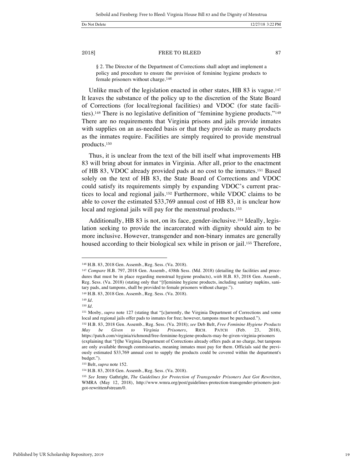2018] **EXECUTE:** FREE TO BLEED 87

§ 2. The Director of the Department of Corrections shall adopt and implement a policy and procedure to ensure the provision of feminine hygiene products to female prisoners without charge.<sup>146</sup>

Unlike much of the legislation enacted in other states, HB 83 is vague.<sup>147</sup> It leaves the substance of the policy up to the discretion of the State Board of Corrections (for local/regional facilities) and VDOC (for state facilities).<sup>148</sup> There is no legislative definition of "feminine hygiene products."<sup>149</sup> There are no requirements that Virginia prisons and jails provide inmates with supplies on an as-needed basis or that they provide as many products as the inmates require. Facilities are simply required to provide menstrual products.<sup>150</sup>

Thus, it is unclear from the text of the bill itself what improvements HB 83 will bring about for inmates in Virginia. After all, prior to the enactment of HB 83, VDOC already provided pads at no cost to the inmates.<sup>151</sup> Based solely on the text of HB 83, the State Board of Corrections and VDOC could satisfy its requirements simply by expanding VDOC's current practices to local and regional jails.<sup>152</sup> Furthermore, while VDOC claims to be able to cover the estimated \$33,769 annual cost of HB 83, it is unclear how local and regional jails will pay for the menstrual products.<sup>153</sup>

Additionally, HB 83 is not, on its face, gender-inclusive.<sup>154</sup> Ideally, legislation seeking to provide the incarcerated with dignity should aim to be more inclusive. However, transgender and non-binary inmates are generally housed according to their biological sex while in prison or jail.<sup>155</sup> Therefore,

<sup>146</sup> H.B. 83, 2018 Gen. Assemb., Reg. Sess. (Va. 2018).

<sup>147</sup> *Compare* H.B. 797, 2018 Gen. Assemb., 438th Sess. (Md. 2018) (detailing the facilities and procedures that must be in place regarding menstrual hygiene products), *with* H.B. 83, 2018 Gen. Assemb., Reg. Sess. (Va. 2018) (stating only that "[f]eminine hygiene products, including sanitary napkins, sanitary pads, and tampons, shall be provided to female prisoners without charge.").

<sup>148</sup> H.B. 83, 2018 Gen. Assemb., Reg. Sess. (Va. 2018).

<sup>149</sup> *Id*.

<sup>150</sup> *Id*.

<sup>151</sup> Mosby, *supra* note 127 (stating that "[c]urrently, the Virginia Department of Corrections and some local and regional jails offer pads to inmates for free; however, tampons must be purchased.").

<sup>152</sup> H.B. 83, 2018 Gen. Assemb., Reg. Sess. (Va. 2018); *see* Deb Belt, *Free Feminine Hygiene Products May be Given to Virginia Prisoners*, RICH. PATCH (Feb. 23, 2018), https://patch.com/virginia/richmond/free-feminine-hygiene-products-may-be-given-virginia-prisoners (explaining that "[t]he Virginia Department of Corrections already offers pads at no charge, but tampons are only available through commissaries, meaning inmates must pay for them. Officials said the previously estimated \$33,769 annual cost to supply the products could be covered within the department's budget.").

<sup>153</sup> Belt, *supra* note 152.

<sup>154</sup> H.B. 83, 2018 Gen. Assemb., Reg. Sess. (Va. 2018).

<sup>155</sup> *See* Jenny Gathright, *The Guidelines for Protection of Transgender Prisoners Just Got Rewritten*, WMRA (May 12, 2018), http://www.wmra.org/post/guidelines-protection-transgender-prisoners-justgot-rewritten#stream/0.